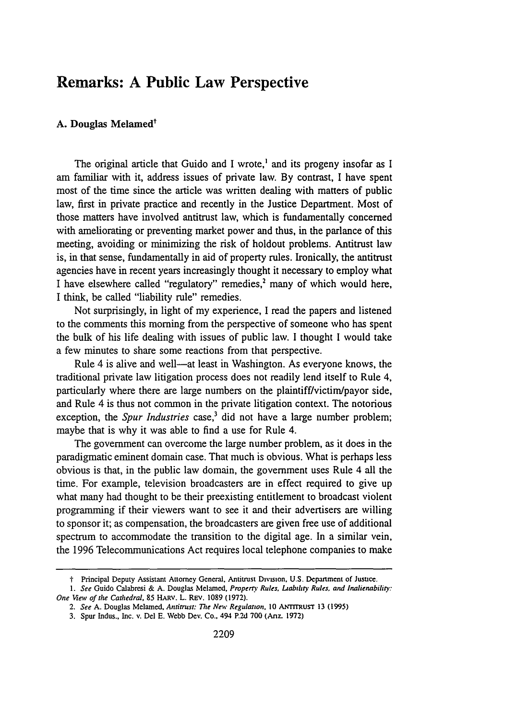## **Remarks: A Public Law Perspective**

## A. Douglas Melamed<sup>t</sup>

The original article that Guido and I wrote,<sup>1</sup> and its progeny insofar as I am familiar with it, address issues of private law. By contrast, I have spent most of the time since the article was written dealing with matters of public law, first in private practice and recently in the Justice Department. Most of those matters have involved antitrust law, which is fundamentally concerned with ameliorating or preventing market power and thus, in the parlance of this meeting, avoiding or minimizing the risk of holdout problems. Antitrust law is, in that sense, fundamentally in aid of property rules. Ironically, the antitrust agencies have in recent years increasingly thought it necessary to employ what I have elsewhere called "regulatory" remedies,<sup>2</sup> many of which would here, I think, be called "liability rule" remedies.

Not surprisingly, in light of my experience, I read the papers and listened to the comments this morning from the perspective of someone who has spent the bulk of his life dealing with issues of public law. I thought I would take a few minutes to share some reactions from that perspective.

Rule 4 is alive and well—at least in Washington. As everyone knows, the traditional private law litigation process does not readily lend itself to Rule 4, particularly where there are large numbers on the plaintiff/victim/payor side, and Rule 4 is thus not common in the private litigation context. The notorious exception, the *Spur Industries* case,<sup>3</sup> did not have a large number problem; maybe that is why it was able to find a use for Rule 4.

The government can overcome the large number problem, as it does in the paradigmatic eminent domain case. That much is obvious. What is perhaps less obvious is that, in the public law domain, the government uses Rule 4 all the time. For example, television broadcasters are in effect required to give up what many had thought to be their preexisting entitlement to broadcast violent programming if their viewers want to see it and their advertisers are willing to sponsor it; as compensation, the broadcasters are given free use of additional spectrum to accommodate the transition to the digital age. In a similar vein, the 1996 Telecommunications Act requires local telephone companies to make

**I** Principal Deputy Assistant Attorney General. Antitrust Division. **U.S.** Depatment of Justice,

*<sup>1.</sup> See* Guido Calabresi & A. Douglas Melamed. *Property Rules. Liabihry Rules, and Inalienability: One View of the Cathedral,* **85** HARV. L. REv. 1089 (1972).

<sup>2.</sup> See A. Douglas Melamed, *Antitrust: The New Regulation*, 10 ANTITRUST 13 (1995)

**<sup>3.</sup>** Spur Indus., Inc. v. **Del E.** Webb Dcv. Co.. 494 **R2d 700** (Ariz- **1972)**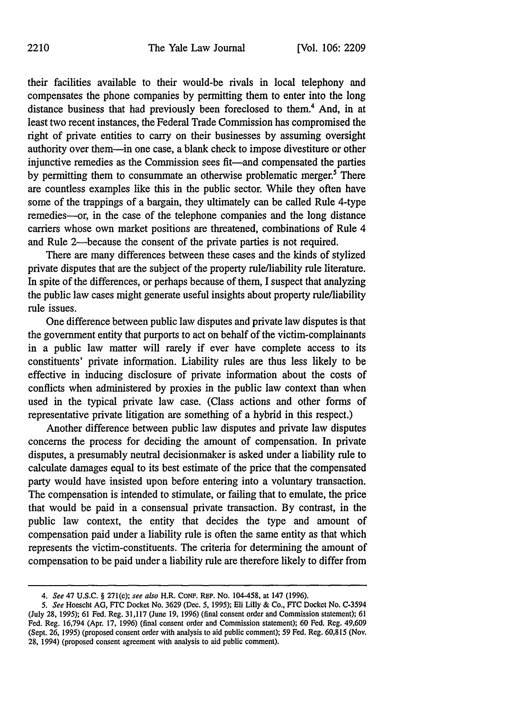their facilities available to their would-be rivals in local telephony and compensates the phone companies by permitting them to enter into the long distance business that had previously been foreclosed to them.4 And, in at least two recent instances, the Federal Trade Commission has compromised the right of private entities to carry on their businesses by assuming oversight authority over them-in one case, a blank check to impose divestiture or other injunctive remedies as the Commission sees fit—and compensated the parties by permitting them to consummate an otherwise problematic merger.<sup>5</sup> There are countless examples like this in the public sector. While they often have some of the trappings of a bargain, they ultimately can be called Rule 4-type remedies-or, in the case of the telephone companies and the long distance carriers whose own market positions are threatened, combinations of Rule 4 and Rule 2-because the consent of the private parties is not required.

There are many differences between these cases and the kinds of stylized private disputes that are the subject of the property rule/liability rule literature. In spite of the differences, or perhaps because of them, I suspect that analyzing the public law cases might generate useful insights about property rule/liability rule issues.

One difference between public law disputes and private law disputes is that the government entity that purports to act on behalf of the victim-complainants in a public law matter will rarely if ever have complete access to its constituents' private information. Liability rules are thus less likely to be effective in inducing disclosure of private information about the costs of conflicts when administered by proxies in the public law context than when used in the typical private law case. (Class actions and other forms of representative private litigation are something of a hybrid in this respect.)

Another difference between public law disputes and private law disputes concerns the process for deciding the amount of compensation. In private disputes, a presumably neutral decisionmaker is asked under a liability rule to calculate damages equal to its best estimate of the price that the compensated party would have insisted upon before entering into a voluntary transaction. The compensation is intended to stimulate, or failing that to emulate, the price that would be paid in a consensual private transaction. By contrast, in the public law context, the entity that decides the type and amount of compensation paid under a liability rule is often the same entity as that which represents the victim-constituents. The criteria for determining the amount of compensation to be paid under a liability rule are therefore likely to differ from

*<sup>4.</sup> See* 47 **U.S.C.** § 271(c); *see also* H.R. **CONF.** REP. No. 104-458, at 147 **(1996).**

*<sup>5.</sup> See* Hoescht **AG, FTC** Docket No. **3629** (Dec. **5, 1995);** Eli Lilly **&** Co., **FTC** Docket No. C-3594 (July **28, 1995); 61** Fed. Reg. **31,117** (June **19, 1996)** (final consent order and Commission statement); **61** Fed. Reg. **16,794** (Apr. **17, 1996)** (final consent order and Commission statement); **60** Fed, Reg. 49,609 (Sept. **26, 1995)** (proposed consent order with analysis to aid public comment); **59** Fed. Reg. **60,815** (Nov. **28,** 1994) (proposed consent agreement with analysis to aid public comment).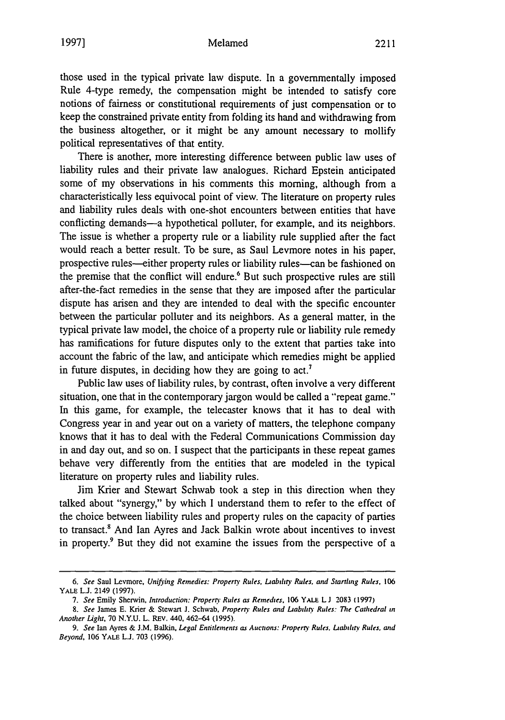those used in the typical private law dispute. In a governmentally imposed Rule 4-type remedy, the compensation might be intended to satisfy core notions of fairness or constitutional requirements of just compensation or to keep the constrained private entity from folding its hand and withdrawing from the business altogether, or it might be any amount necessary to mollify political representatives of that entity.

There is another, more interesting difference between public law uses of liability rules and their private law analogues. Richard Epstein anticipated some of my observations in his comments this morning, although from a characteristically less equivocal point of view. The literature on property rules and liability rules deals with one-shot encounters between entities that have conflicting demands—a hypothetical polluter, for example, and its neighbors. The issue is whether a property rule or a liability rule supplied after the fact would reach a better result. To be sure, as Saul Levmore notes in his paper, prospective rules--either property rules or liability rules-can be fashioned on the premise that the conflict will endure.<sup>6</sup> But such prospective rules are still after-the-fact remedies in the sense that they are imposed after the particular dispute has arisen and they are intended to deal with the specific encounter between the particular polluter and its neighbors. As a general matter, in the typical private law model, the choice of a property rule or liability rule remedy has ramifications for future disputes only to the extent that parties take into account the fabric of the law, and anticipate which remedies might be applied in future disputes, in deciding how they are going to  $act<sup>7</sup>$ .

Public law uses of liability rules, by contrast, often involve a very different situation, one that in the contemporary jargon would be called a "repeat game." In this game, for example, the telecaster knows that it has to deal with Congress year in and year out on a variety of matters, the telephone company knows that it has to deal with the Federal Communications Commission day in and day out, and so on. I suspect that the participants in these repeat games behave very differently from the entities that are modeled in the typical literature on property rules and liability rules.

Jim Krier and Stewart Schwab took a step in this direction when they talked about "synergy," by which I understand them to refer to the effect of the choice between liability rules and property rules on the capacity of parties to transact.<sup>8</sup> And Ian Ayres and Jack Balkin wrote about incentives to invest in property.<sup>9</sup> But they did not examine the issues from the perspective of a

*<sup>6.</sup> See* Saul Levmore, *Unifying Remedies: Property Rules, Liability Rules, and Startling Rules. 106* YALE **LJ.** 2149 (1997).

*<sup>7.</sup> See* Emily Sherwin, *Introduction: Property Rules as Remedies.* 106 YALE **LJ** 2083 (1997)

*<sup>8.</sup> See* James E. Krier & Stewart **J.** Schwab. *Property Rules and Dabihtiv Rule5: The* Cathedral **in** *Another Light,* 70 N.Y.U. L. REV. 440, 462-64 **(1995).**

*<sup>9.</sup> See* Ian Ayres & J.M. Balkin, *Legal Entitlements as Auctions: Property Rules, Dibalitr Rules, and Beyond,* 106 YALE **L.J.** 703 (1996).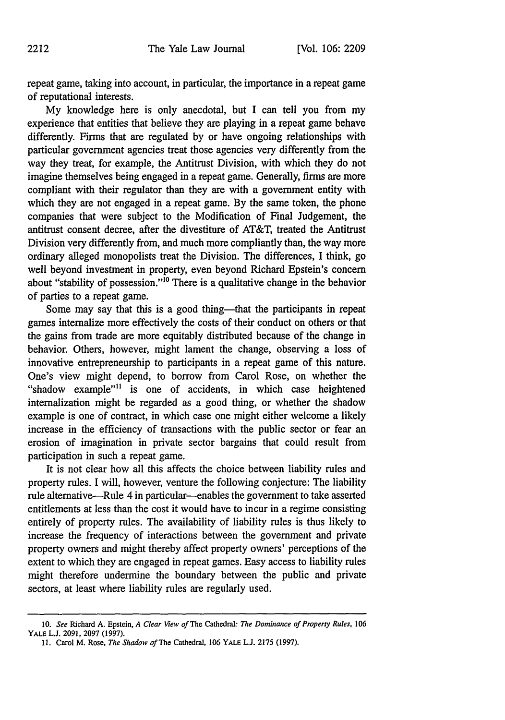repeat game, taking into account, in particular, the importance in a repeat game of reputational interests.

My knowledge here is only anecdotal, but I can tell you from my experience that entities that believe they are playing in a repeat game behave differently. Firms that are regulated by or have ongoing relationships with particular government agencies treat those agencies very differently from the way they treat, for example, the Antitrust Division, with which they do not imagine themselves being engaged in a repeat game. Generally, firms are more compliant with their regulator than they are with a government entity with which they are not engaged in a repeat game. By the same token, the phone companies that were subject to the Modification of Final Judgement, the antitrust consent decree, after the divestiture of AT&T, treated the Antitrust Division very differently from, and much more compliantly than, the way more ordinary alleged monopolists treat the Division. The differences, I think, go well beyond investment in property, even beyond Richard Epstein's concern about "stability of possession."'10 There is a qualitative change in the behavior of parties to a repeat game.

Some may say that this is a good thing—that the participants in repeat games internalize more effectively the costs of their conduct on others or that the gains from trade are more equitably distributed because of the change in behavior. Others, however, might lament the change, observing a loss of innovative entrepreneurship to participants in a repeat game of this nature. One's view might depend, to borrow from Carol Rose, on whether the "shadow example"<sup>11</sup> is one of accidents, in which case heightened internalization might be regarded as a good thing, or whether the shadow example is one of contract, in which case one might either welcome a likely increase in the efficiency of transactions with the public sector or fear an erosion of imagination in private sector bargains that could result from participation in such a repeat game.

It is not clear how all this affects the choice between liability rules and property rules. I will, however, venture the following conjecture: The liability rule alternative-Rule 4 in particular-enables the government to take asserted entitlements at less than the cost it would have to incur in a regime consisting entirely of property rules. The availability of liability rules is thus likely to increase the frequency of interactions between the government and private property owners and might thereby affect property owners' perceptions of the extent to which they are engaged in repeat games. Easy access to liability rules might therefore undermine the boundary between the public and private sectors, at least where liability rules are regularly used.

**<sup>10.</sup>** *See* Richard **A.** Epstein, *A Clear View of* The Cathedral: *The Dominance of Property Rules,* **106** YALE L.J. 2091, 2097 (1997).

**<sup>11.</sup>** Carol M. Rose, *The Shadow of* The Cathedral, **106** YALE **L.J. 2175 (1997).**